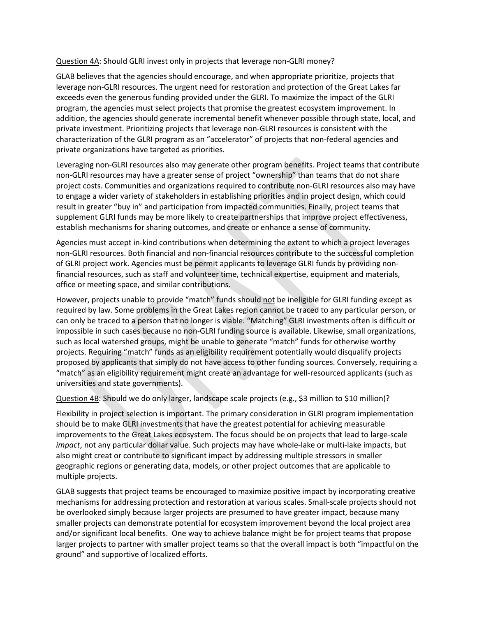Question 4A: Should GLRI invest only in projects that leverage non-GLRI money?

GLAB believes that the agencies should encourage, and when appropriate prioritize, projects that leverage non-GLRI resources. The urgent need for restoration and protection of the Great Lakes far exceeds even the generous funding provided under the GLRI. To maximize the impact of the GLRI program, the agencies must select projects that promise the greatest ecosystem improvement. In addition, the agencies should generate incremental benefit whenever possible through state, local, and private investment. Prioritizing projects that leverage non-GLRI resources is consistent with the characterization of the GLRI program as an "accelerator" of projects that non-federal agencies and private organizations have targeted as priorities.

Leveraging non-GLRI resources also may generate other program benefits. Project teams that contribute non-GLRI resources may have a greater sense of project "ownership" than teams that do not share project costs. Communities and organizations required to contribute non-GLRI resources also may have to engage a wider variety of stakeholders in establishing priorities and in project design, which could result in greater "buy in" and participation from impacted communities. Finally, project teams that supplement GLRI funds may be more likely to create partnerships that improve project effectiveness, establish mechanisms for sharing outcomes, and create or enhance a sense of community.

Agencies must accept in-kind contributions when determining the extent to which a project leverages non-GLRI resources. Both financial and non-financial resources contribute to the successful completion of GLRI project work. Agencies must be permit applicants to leverage GLRI funds by providing nonfinancial resources, such as staff and volunteer time, technical expertise, equipment and materials, office or meeting space, and similar contributions.

However, projects unable to provide "match" funds should not be ineligible for GLRI funding except as required by law. Some problems in the Great Lakes region cannot be traced to any particular person, or can only be traced to a person that no longer is viable. "Matching" GLRI investments often is difficult or impossible in such cases because no non-GLRI funding source is available. Likewise, small organizations, such as local watershed groups, might be unable to generate "match" funds for otherwise worthy projects. Requiring "match" funds as an eligibility requirement potentially would disqualify projects proposed by applicants that simply do not have access to other funding sources. Conversely, requiring a "match" as an eligibility requirement might create an advantage for well-resourced applicants (such as universities and state governments).

Question 4B: Should we do only larger, landscape scale projects (e.g., \$3 million to \$10 million)?

Flexibility in project selection is important. The primary consideration in GLRI program implementation should be to make GLRI investments that have the greatest potential for achieving measurable improvements to the Great Lakes ecosystem. The focus should be on projects that lead to large-scale *impact*, not any particular dollar value. Such projects may have whole-lake or multi-lake impacts, but also might creat or contribute to significant impact by addressing multiple stressors in smaller geographic regions or generating data, models, or other project outcomes that are applicable to multiple projects.

GLAB suggests that project teams be encouraged to maximize positive impact by incorporating creative mechanisms for addressing protection and restoration at various scales. Small-scale projects should not be overlooked simply because larger projects are presumed to have greater impact, because many smaller projects can demonstrate potential for ecosystem improvement beyond the local project area and/or significant local benefits. One way to achieve balance might be for project teams that propose larger projects to partner with smaller project teams so that the overall impact is both "impactful on the ground" and supportive of localized efforts.